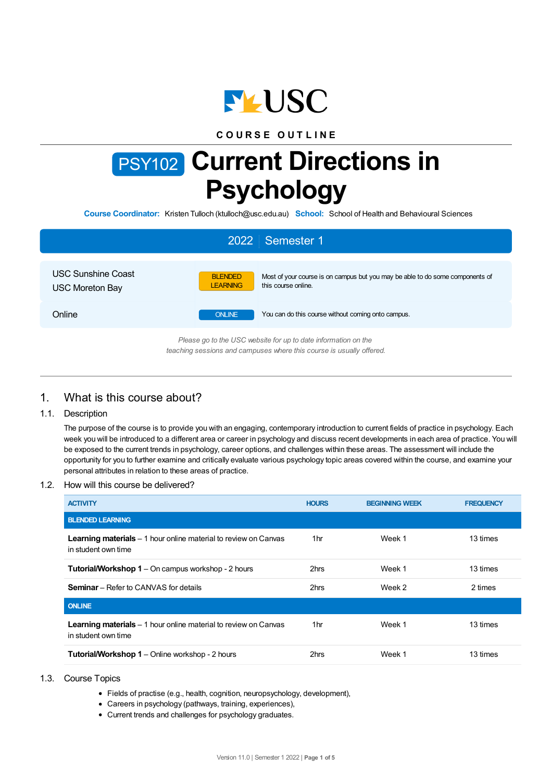

# **C O U R S E O U T L I N E**

# PSY102 **Current Directions in Psychology**

**Course Coordinator:** Kristen Tulloch (ktulloch@usc.edu.au) **School:** School of Health and Behavioural Sciences

| 2022 Semester 1                                                                                                                        |                                                                                                                                           |  |  |  |  |
|----------------------------------------------------------------------------------------------------------------------------------------|-------------------------------------------------------------------------------------------------------------------------------------------|--|--|--|--|
| USC Sunshine Coast<br><b>USC Moreton Bay</b>                                                                                           | Most of your course is on campus but you may be able to do some components of<br><b>BLENDED</b><br><b>LEARNING</b><br>this course online. |  |  |  |  |
| Online                                                                                                                                 | <b>ONLINE</b><br>You can do this course without coming onto campus.                                                                       |  |  |  |  |
| Please go to the USC website for up to date information on the<br>teaching sessions and campuses where this course is usually offered. |                                                                                                                                           |  |  |  |  |

# 1. What is this course about?

# 1.1. Description

The purpose of the course is to provide you with an engaging, contemporary introduction to current fields of practice in psychology. Each week you will be introduced to a different area or career in psychology and discuss recent developments in each area of practice. You will be exposed to the current trends in psychology, career options, and challenges within these areas. The assessment will include the opportunity for you to further examine and critically evaluate various psychology topic areas covered within the course, and examine your personal attributes in relation to these areas of practice.

## 1.2. How will this course be delivered?

| <b>ACTIVITY</b>                                                                                | <b>HOURS</b> | <b>BEGINNING WEEK</b> | <b>FREQUENCY</b> |
|------------------------------------------------------------------------------------------------|--------------|-----------------------|------------------|
| <b>BLENDED LEARNING</b>                                                                        |              |                       |                  |
| <b>Learning materials</b> – 1 hour online material to review on Canvas<br>in student own time  | 1hr          | Week 1                | 13 times         |
| <b>Tutorial/Workshop 1</b> – On campus workshop - 2 hours                                      | 2hrs         | Week 1                | 13 times         |
| <b>Seminar</b> – Refer to CANVAS for details                                                   | 2hrs         | Week 2                | 2 times          |
| <b>ONLINE</b>                                                                                  |              |                       |                  |
| <b>Learning materials</b> $-1$ hour online material to review on Canvas<br>in student own time | 1hr          | Week 1                | 13 times         |
| <b>Tutorial/Workshop 1</b> – Online workshop - 2 hours                                         | 2hrs         | Week 1                | 13 times         |

## 1.3. Course Topics

- Fields of practise (e.g., health, cognition, neuropsychology, development),
- Careers in psychology (pathways, training, experiences),
- Current trends and challenges for psychology graduates.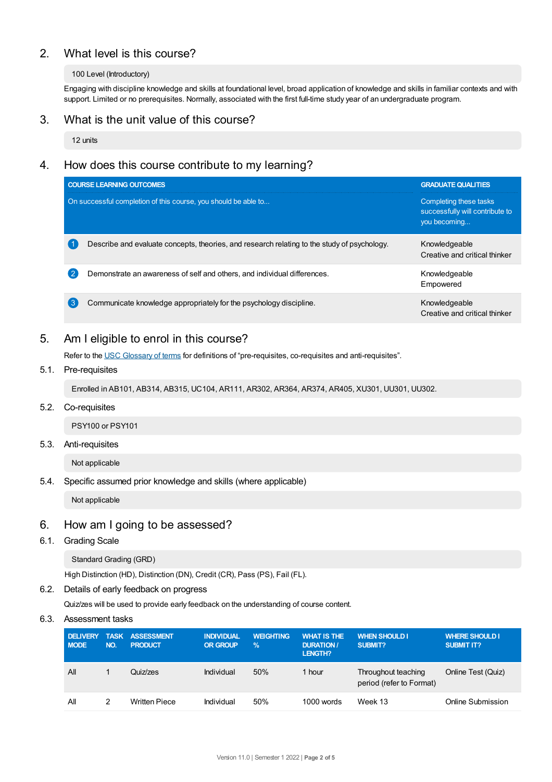# 2. What level is this course?

#### 100 Level (Introductory)

Engaging with discipline knowledge and skills at foundational level, broad application of knowledge and skills in familiar contexts and with support. Limited or no prerequisites. Normally, associated with the first full-time study year of an undergraduate program.

# 3. What is the unit value of this course?

12 units

# 4. How does this course contribute to my learning?

|    | <b>COURSE LEARNING OUTCOMES</b>                                                             | <b>GRADUATE QUALITIES</b>                                                 |  |
|----|---------------------------------------------------------------------------------------------|---------------------------------------------------------------------------|--|
|    | On successful completion of this course, you should be able to                              | Completing these tasks<br>successfully will contribute to<br>you becoming |  |
|    | Describe and evaluate concepts, theories, and research relating to the study of psychology. | Knowledgeable<br>Creative and critical thinker                            |  |
| 2  | Demonstrate an awareness of self and others, and individual differences.                    | Knowledgeable<br>Empowered                                                |  |
| ′ვ | Communicate knowledge appropriately for the psychology discipline.                          | Knowledgeable<br>Creative and critical thinker                            |  |

# 5. Am Ieligible to enrol in this course?

Refer to the USC [Glossary](https://www.usc.edu.au/about/policies-and-procedures/glossary-of-terms-for-policy-and-procedures) of terms for definitions of "pre-requisites, co-requisites and anti-requisites".

# 5.1. Pre-requisites

Enrolled in AB101, AB314, AB315, UC104, AR111, AR302, AR364, AR374, AR405, XU301, UU301, UU302.

## 5.2. Co-requisites

PSY100 or PSY101

## 5.3. Anti-requisites

Not applicable

## 5.4. Specific assumed prior knowledge and skills (where applicable)

Not applicable

# 6. How am Igoing to be assessed?

#### 6.1. Grading Scale

Standard Grading (GRD)

High Distinction (HD), Distinction (DN), Credit (CR), Pass (PS), Fail (FL).

## 6.2. Details of early feedback on progress

Quiz/zes will be used to provide early feedback on the understanding of course content.

## 6.3. Assessment tasks

| <b>DELIVERY</b><br><b>MODE</b> | NO. | <b>TASK ASSESSMENT</b><br><b>PRODUCT</b> | <b>INDIVIDUAL</b><br><b>OR GROUP</b> | <b>WEIGHTING</b><br>$\%$ | <b>WHAT IS THE</b><br><b>DURATION /</b><br>LENGTH? | <b>WHEN SHOULD I</b><br><b>SUBMIT?</b>          | <b>WHERE SHOULD I</b><br><b>SUBMIT IT?</b> |
|--------------------------------|-----|------------------------------------------|--------------------------------------|--------------------------|----------------------------------------------------|-------------------------------------------------|--------------------------------------------|
| All                            |     | Quiz/zes                                 | Individual                           | 50%                      | hour                                               | Throughout teaching<br>period (refer to Format) | Online Test (Quiz)                         |
| Αll                            |     | <b>Written Piece</b>                     | Individual                           | 50%                      | $1000$ words                                       | Week 13                                         | Online Submission                          |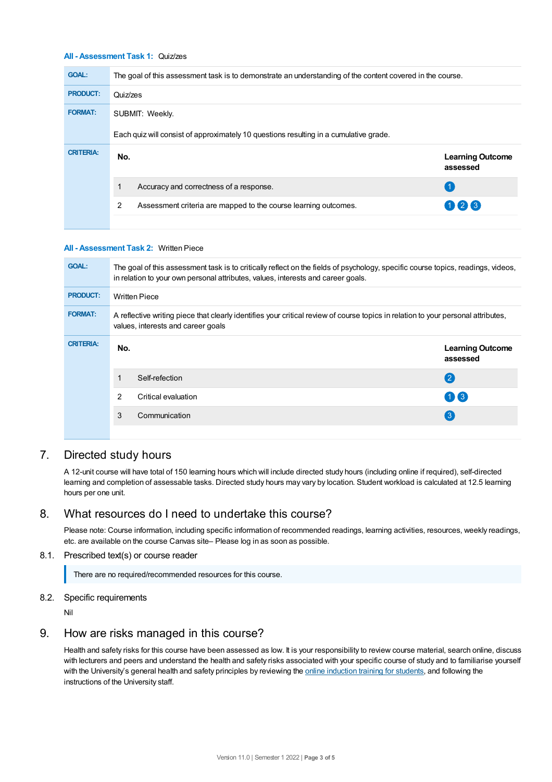### **All - Assessment Task 1:** Quiz/zes

| <b>GOAL:</b>     | The goal of this assessment task is to demonstrate an understanding of the content covered in the course. |                                     |  |  |  |  |  |
|------------------|-----------------------------------------------------------------------------------------------------------|-------------------------------------|--|--|--|--|--|
| <b>PRODUCT:</b>  | Quiz/zes                                                                                                  |                                     |  |  |  |  |  |
| <b>FORMAT:</b>   | SUBMIT: Weekly.                                                                                           |                                     |  |  |  |  |  |
|                  | Each quiz will consist of approximately 10 questions resulting in a cumulative grade.                     |                                     |  |  |  |  |  |
| <b>CRITERIA:</b> | No.                                                                                                       | <b>Learning Outcome</b><br>assessed |  |  |  |  |  |
|                  | Accuracy and correctness of a response.                                                                   |                                     |  |  |  |  |  |
|                  | 2<br>Assessment criteria are mapped to the course learning outcomes.                                      | 123                                 |  |  |  |  |  |
|                  |                                                                                                           |                                     |  |  |  |  |  |

#### **All - Assessment Task 2:** Written Piece

| <b>GOAL:</b>     | The goal of this assessment task is to critically reflect on the fields of psychology, specific course topics, readings, videos,<br>in relation to your own personal attributes, values, interests and career goals. |                     |                                     |  |  |  |
|------------------|----------------------------------------------------------------------------------------------------------------------------------------------------------------------------------------------------------------------|---------------------|-------------------------------------|--|--|--|
| <b>PRODUCT:</b>  | <b>Written Piece</b>                                                                                                                                                                                                 |                     |                                     |  |  |  |
| <b>FORMAT:</b>   | A reflective writing piece that clearly identifies your critical review of course topics in relation to your personal attributes,<br>values, interests and career goals                                              |                     |                                     |  |  |  |
| <b>CRITERIA:</b> | No.                                                                                                                                                                                                                  |                     | <b>Learning Outcome</b><br>assessed |  |  |  |
|                  |                                                                                                                                                                                                                      | Self-refection      | $\left( 2 \right)$                  |  |  |  |
|                  | 2                                                                                                                                                                                                                    | Critical evaluation | $(1)$ $(3)$                         |  |  |  |
|                  | 3                                                                                                                                                                                                                    | Communication       | 3                                   |  |  |  |
|                  |                                                                                                                                                                                                                      |                     |                                     |  |  |  |

# 7. Directed study hours

A 12-unit course will have total of 150 learning hours which will include directed study hours (including online if required), self-directed learning and completion of assessable tasks. Directed study hours may vary by location. Student workload is calculated at 12.5 learning hours per one unit.

# 8. What resources do I need to undertake this course?

Please note: Course information, including specific information of recommended readings, learning activities, resources, weekly readings, etc. are available on the course Canvas site– Please log in as soon as possible.

## 8.1. Prescribed text(s) or course reader

There are no required/recommended resources for this course.

#### 8.2. Specific requirements

Nil

# 9. How are risks managed in this course?

Health and safety risks for this course have been assessed as low. It is your responsibility to review course material, search online, discuss with lecturers and peers and understand the health and safety risks associated with your specific course of study and to familiarise yourself with the University's general health and safety principles by reviewing the online [induction](https://online.usc.edu.au/webapps/blackboard/content/listContentEditable.jsp?content_id=_632657_1&course_id=_14432_1) training for students, and following the instructions of the University staff.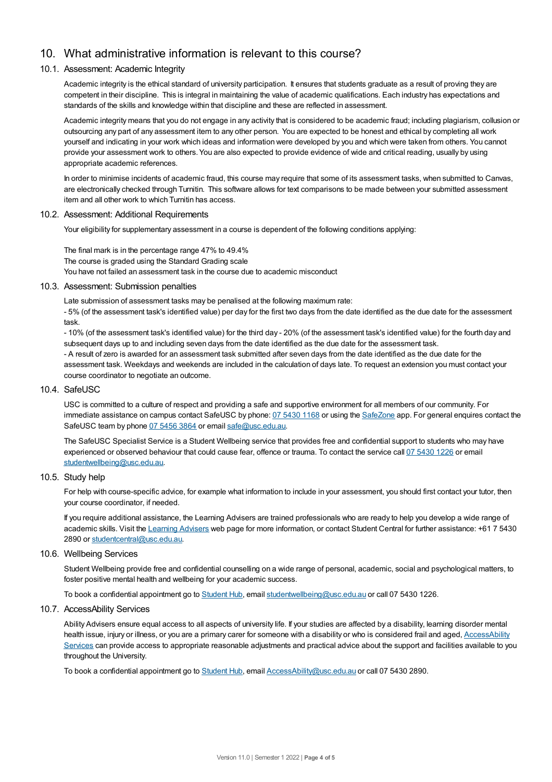# 10. What administrative information is relevant to this course?

## 10.1. Assessment: Academic Integrity

Academic integrity is the ethical standard of university participation. It ensures that students graduate as a result of proving they are competent in their discipline. This is integral in maintaining the value of academic qualifications. Each industry has expectations and standards of the skills and knowledge within that discipline and these are reflected in assessment.

Academic integrity means that you do not engage in any activity that is considered to be academic fraud; including plagiarism, collusion or outsourcing any part of any assessment item to any other person. You are expected to be honest and ethical by completing all work yourself and indicating in your work which ideas and information were developed by you and which were taken from others. You cannot provide your assessment work to others.You are also expected to provide evidence of wide and critical reading, usually by using appropriate academic references.

In order to minimise incidents of academic fraud, this course may require that some of its assessment tasks, when submitted to Canvas, are electronically checked through Turnitin. This software allows for text comparisons to be made between your submitted assessment item and all other work to which Turnitin has access.

#### 10.2. Assessment: Additional Requirements

Your eligibility for supplementary assessment in a course is dependent of the following conditions applying:

The final mark is in the percentage range 47% to 49.4% The course is graded using the Standard Grading scale You have not failed an assessment task in the course due to academic misconduct

#### 10.3. Assessment: Submission penalties

Late submission of assessment tasks may be penalised at the following maximum rate:

- 5% (of the assessment task's identified value) per day for the first two days from the date identified as the due date for the assessment task.

- 10% (of the assessment task's identified value) for the third day - 20% (of the assessment task's identified value) for the fourth day and subsequent days up to and including seven days from the date identified as the due date for the assessment task.

- A result of zero is awarded for an assessment task submitted after seven days from the date identified as the due date for the assessment task. Weekdays and weekends are included in the calculation of days late. To request an extension you must contact your course coordinator to negotiate an outcome.

#### 10.4. SafeUSC

USC is committed to a culture of respect and providing a safe and supportive environment for all members of our community. For immediate assistance on campus contact SafeUSC by phone: 07 [5430](tel:07%205430%201168) 1168 or using the [SafeZone](https://www.safezoneapp.com) app. For general enquires contact the SafeUSC team by phone 07 [5456](tel:07%205456%203864) 3864 or email [safe@usc.edu.au](mailto:safe@usc.edu.au).

The SafeUSC Specialist Service is a Student Wellbeing service that provides free and confidential support to students who may have experienced or observed behaviour that could cause fear, offence or trauma. To contact the service call 07 [5430](tel:07%205430%201226) 1226 or email [studentwellbeing@usc.edu.au](mailto:studentwellbeing@usc.edu.au).

## 10.5. Study help

For help with course-specific advice, for example what information to include in your assessment, you should first contact your tutor, then your course coordinator, if needed.

If you require additional assistance, the Learning Advisers are trained professionals who are ready to help you develop a wide range of academic skills. Visit the Learning [Advisers](https://www.usc.edu.au/current-students/student-support/academic-and-study-support/learning-advisers) web page for more information, or contact Student Central for further assistance: +61 7 5430 2890 or [studentcentral@usc.edu.au](mailto:studentcentral@usc.edu.au).

#### 10.6. Wellbeing Services

Student Wellbeing provide free and confidential counselling on a wide range of personal, academic, social and psychological matters, to foster positive mental health and wellbeing for your academic success.

To book a confidential appointment go to [Student](https://studenthub.usc.edu.au/) Hub, email [studentwellbeing@usc.edu.au](mailto:studentwellbeing@usc.edu.au) or call 07 5430 1226.

#### 10.7. AccessAbility Services

Ability Advisers ensure equal access to all aspects of university life. If your studies are affected by a disability, learning disorder mental health issue, injury or illness, or you are a primary carer for someone with a disability or who is considered frail and aged, [AccessAbility](https://www.usc.edu.au/learn/student-support/accessability-services/documentation-requirements) Services can provide access to appropriate reasonable adjustments and practical advice about the support and facilities available to you throughout the University.

To book a confidential appointment go to [Student](https://studenthub.usc.edu.au/) Hub, email [AccessAbility@usc.edu.au](mailto:AccessAbility@usc.edu.au) or call 07 5430 2890.